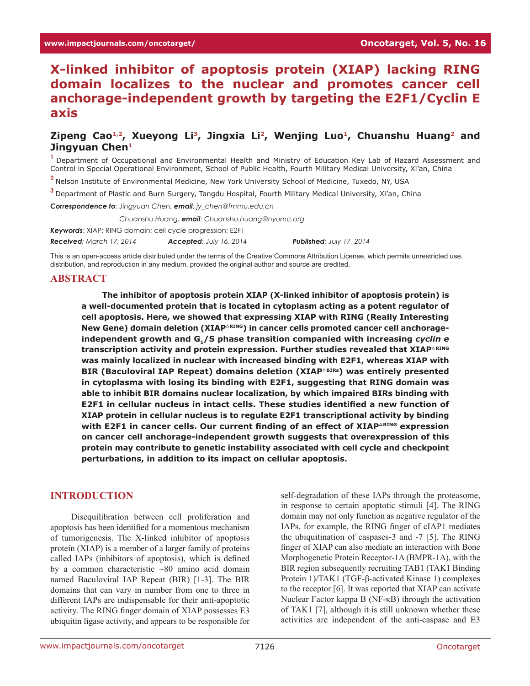# **X-linked inhibitor of apoptosis protein (XIAP) lacking RING domain localizes to the nuclear and promotes cancer cell anchorage-independent growth by targeting the E2F1/Cyclin E axis**

# Zipeng Cao<sup>1,2</sup>, Xueyong Li<sup>3</sup>, Jingxia Li<sup>2</sup>, Wenjing Luo<sup>1</sup>, Chuanshu Huang<sup>2</sup> and **Jingyuan Chen1**

**<sup>1</sup>**Department of Occupational and Environmental Health and Ministry of Education Key Lab of Hazard Assessment and Control in Special Operational Environment, School of Public Health, Fourth Military Medical University, Xi'an, China

**<sup>2</sup>**Nelson Institute of Environmental Medicine, New York University School of Medicine, Tuxedo, NY, USA

**<sup>3</sup>**Department of Plastic and Burn Surgery, Tangdu Hospital, Fourth Military Medical University, Xi'an, China

*Correspondence to: Jingyuan Chen, email: jy\_chen@fmmu.edu.cn*

*Correspondence to: Chuanshu Huang, email: Chuanshu.huang@nyumc.org*

*Keywords*: XIAP; RING domain; cell cycle progression; E2F1

*Received: March 17, 2014 Accepted: July 16, 2014 Published: July 17, 2014*

This is an open-access article distributed under the terms of the Creative Commons Attribution License, which permits unrestricted use, distribution, and reproduction in any medium, provided the original author and source are credited.

#### **ABSTRACT**

**The inhibitor of apoptosis protein XIAP (X-linked inhibitor of apoptosis protein) is a well-documented protein that is located in cytoplasm acting as a potent regulator of cell apoptosis. Here, we showed that expressing XIAP with RING (Really Interesting**  New Gene) domain deletion (XIAP<sup>△RING</sup>) in cancer cells promoted cancer cell anchorageindependent growth and G<sub>1</sub>/S phase transition companied with increasing *cyclin e* **transcription activity and protein expression. Further studies revealed that XIAP**△**RING was mainly localized in nuclear with increased binding with E2F1, whereas XIAP with BIR (Baculoviral IAP Repeat) domains deletion (XIAP**△**BIRs) was entirely presented in cytoplasma with losing its binding with E2F1, suggesting that RING domain was able to inhibit BIR domains nuclear localization, by which impaired BIRs binding with E2F1 in cellular nucleus in intact cells. These studies identified a new function of XIAP protein in cellular nucleus is to regulate E2F1 transcriptional activity by binding with E2F1 in cancer cells. Our current finding of an effect of XIAP**△**RING expression on cancer cell anchorage-independent growth suggests that overexpression of this protein may contribute to genetic instability associated with cell cycle and checkpoint perturbations, in addition to its impact on cellular apoptosis.**

# **INTRODUCTION**

Disequilibration between cell proliferation and apoptosis has been identified for a momentous mechanism of tumorigenesis. The X-linked inhibitor of apoptosis protein (XIAP) is a member of a larger family of proteins called IAPs (inhibitors of apoptosis), which is defined by a common characteristic ~80 amino acid domain named Baculoviral IAP Repeat (BIR) [1-3]. The BIR domains that can vary in number from one to three in different IAPs are indispensable for their anti-apoptotic activity. The RING finger domain of XIAP possesses E3 ubiquitin ligase activity, and appears to be responsible for

self-degradation of these IAPs through the proteasome, in response to certain apoptotic stimuli [4]. The RING domain may not only function as negative regulator of the IAPs, for example, the RING finger of cIAP1 mediates the ubiquitination of caspases-3 and -7 [5]. The RING finger of XIAP can also mediate an interaction with Bone Morphogenetic Protein Receptor-1A (BMPR-1A), with the BIR region subsequently recruiting TAB1 (TAK1 Binding Protein 1)/TAK1 (TGF-β-activated Kinase 1) complexes to the receptor [6]. It was reported that XIAP can activate Nuclear Factor kappa B (NF-κB) through the activation of TAK1 [7], although it is still unknown whether these activities are independent of the anti-caspase and E3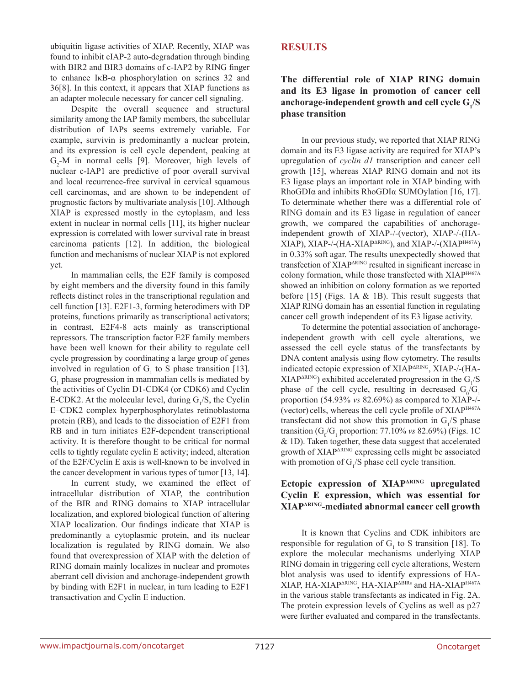ubiquitin ligase activities of XIAP. Recently, XIAP was found to inhibit cIAP-2 auto-degradation through binding with BIR2 and BIR3 domains of c-IAP2 by RING finger to enhance IκB-α phosphorylation on serines 32 and 36[8]. In this context, it appears that XIAP functions as an adapter molecule necessary for cancer cell signaling.

Despite the overall sequence and structural similarity among the IAP family members, the subcellular distribution of IAPs seems extremely variable. For example, survivin is predominantly a nuclear protein, and its expression is cell cycle dependent, peaking at  $G_2$ -M in normal cells [9]. Moreover, high levels of nuclear c-IAP1 are predictive of poor overall survival and local recurrence-free survival in cervical squamous cell carcinomas, and are shown to be independent of prognostic factors by multivariate analysis [10]. Although XIAP is expressed mostly in the cytoplasm, and less extent in nuclear in normal cells [11], its higher nuclear expression is correlated with lower survival rate in breast carcinoma patients [12]. In addition, the biological function and mechanisms of nuclear XIAP is not explored yet.

In mammalian cells, the E2F family is composed by eight members and the diversity found in this family reflects distinct roles in the transcriptional regulation and cell function [13]. E2F1-3, forming heterodimers with DP proteins, functions primarily as transcriptional activators; in contrast, E2F4-8 acts mainly as transcriptional repressors. The transcription factor E2F family members have been well known for their ability to regulate cell cycle progression by coordinating a large group of genes involved in regulation of  $G<sub>1</sub>$  to S phase transition [13].  $G<sub>1</sub>$  phase progression in mammalian cells is mediated by the activities of Cyclin D1-CDK4 (or CDK6) and Cyclin E-CDK2. At the molecular level, during  $G_1/S$ , the Cyclin E–CDK2 complex hyperphosphorylates retinoblastoma protein (RB), and leads to the dissociation of E2F1 from RB and in turn initiates E2F-dependent transcriptional activity. It is therefore thought to be critical for normal cells to tightly regulate cyclin E activity; indeed, alteration of the E2F/Cyclin E axis is well-known to be involved in the cancer development in various types of tumor [13, 14].

In current study, we examined the effect of intracellular distribution of XIAP, the contribution of the BIR and RING domains to XIAP intracellular localization, and explored biological function of altering XIAP localization. Our findings indicate that XIAP is predominantly a cytoplasmic protein, and its nuclear localization is regulated by RING domain. We also found that overexpression of XIAP with the deletion of RING domain mainly localizes in nuclear and promotes aberrant cell division and anchorage-independent growth by binding with E2F1 in nuclear, in turn leading to E2F1 transactivation and Cyclin E induction.

# **RESULTS**

# **The differential role of XIAP RING domain and its E3 ligase in promotion of cancer cell**  anchorage-independent growth and cell cycle  $G_i/S$ **phase transition**

In our previous study, we reported that XIAP RING domain and its E3 ligase activity are required for XIAP's upregulation of *cyclin d1* transcription and cancer cell growth [15], whereas XIAP RING domain and not its E3 ligase plays an important role in XIAP binding with RhoGDIα and inhibits RhoGDIα SUMOylation [16, 17]. To determinate whether there was a differential role of RING domain and its E3 ligase in regulation of cancer growth, we compared the capabilities of anchorageindependent growth of XIAP-/-(vector), XIAP-/-(HA- $XIAP$ ),  $XIAP$ -/-( $HA$ - $XIAP<sub>MRING</sub>$ ), and  $XIAP$ -/-( $XIAP<sub>HA67A</sub>$ ) in 0.33% soft agar. The results unexpectedly showed that transfection of XIAPΔRING resulted in significant increase in colony formation, while those transfected with XIAPH467A showed an inhibition on colony formation as we reported before [15] (Figs. 1A & 1B). This result suggests that XIAP RING domain has an essential function in regulating cancer cell growth independent of its E3 ligase activity.

To determine the potential association of anchorageindependent growth with cell cycle alterations, we assessed the cell cycle status of the transfectants by DNA content analysis using flow cytometry. The results indicated ectopic expression of XIAP<sup>ARING</sup>, XIAP-/-(HA- $XIAP<sub>ΔRING</sub>$  exhibited accelerated progression in the  $G<sub>1</sub>/S$ phase of the cell cycle, resulting in decreased  $G_0/G_1$ proportion (54.93% *vs* 82.69%) as compared to XIAP-/- (vector) cells, whereas the cell cycle profile of XIAPH467A transfectant did not show this promotion in  $G_1/S$  phase transition ( $G_0/G_1$  proportion: 77.10% *vs* 82.69%) (Figs. 1C & 1D). Taken together, these data suggest that accelerated growth of XIAP<sup>ΔRING</sup> expressing cells might be associated with promotion of  $G_1/S$  phase cell cycle transition.

# **Ectopic expression of XIAPΔRING upregulated Cyclin E expression, which was essential for XIAPΔRING-mediated abnormal cancer cell growth**

It is known that Cyclins and CDK inhibitors are responsible for regulation of  $G<sub>1</sub>$  to S transition [18]. To explore the molecular mechanisms underlying XIAP RING domain in triggering cell cycle alterations, Western blot analysis was used to identify expressions of HA-XIAP, HA-XIAPΔRING, HA-XIAPΔBIRs and HA-XIAPH467A in the various stable transfectants as indicated in Fig. 2A. The protein expression levels of Cyclins as well as p27 were further evaluated and compared in the transfectants.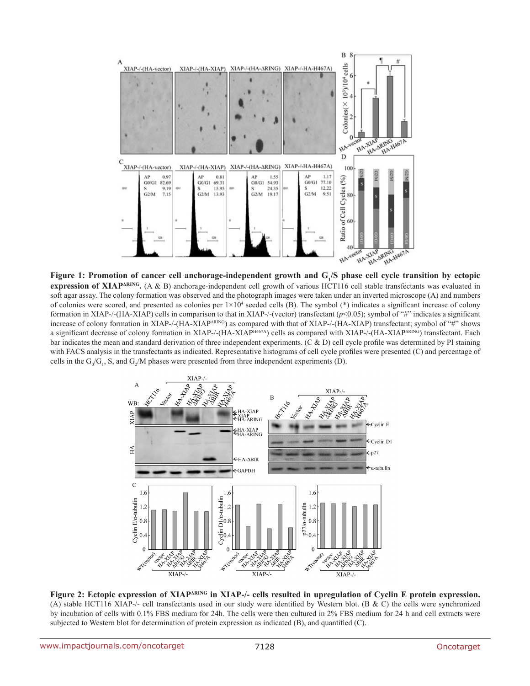

Figure 1: Promotion of cancer cell anchorage-independent growth and G<sub>1</sub>/S phase cell cycle transition by ectopic **expression of XIAP<sup>** $\triangle$ **RING</sup>**. (A & B) anchorage-independent cell growth of various HCT116 cell stable transfectants was evaluated in soft agar assay. The colony formation was observed and the photograph images were taken under an inverted microscope (A) and numbers of colonies were scored, and presented as colonies per  $1\times10^4$  seeded cells (B). The symbol (\*) indicates a significant increase of colony formation in XIAP-/-(HA-XIAP) cells in comparison to that in XIAP-/-(vector) transfectant (*p*<0.05); symbol of "#" indicates a significant increase of colony formation in XIAP-/-(HA-XIAP∆RING) as compared with that of XIAP-/-(HA-XIAP) transfectant; symbol of "#" shows a significant decrease of colony formation in XIAP-/-(HA-XIAPH467A) cells as compared with XIAP-/-(HA-XIAP∆RING) transfectant. Each bar indicates the mean and standard derivation of three independent experiments. (C & D) cell cycle profile was determined by PI staining with FACS analysis in the transfectants as indicated. Representative histograms of cell cycle profiles were presented (C) and percentage of cells in the  $G_0/G_1$ , S, and  $G_2/M$  phases were presented from three independent experiments (D).



**Figure 2: Ectopic expression of XIAP**<sup>ARING</sup> in XIAP-/- cells resulted in upregulation of Cyclin E protein expression. (A) stable HCT116 XIAP-/- cell transfectants used in our study were identified by Western blot. (B & C) the cells were synchronized by incubation of cells with 0.1% FBS medium for 24h. The cells were then cultured in 2% FBS medium for 24 h and cell extracts were subjected to Western blot for determination of protein expression as indicated (B), and quantified (C).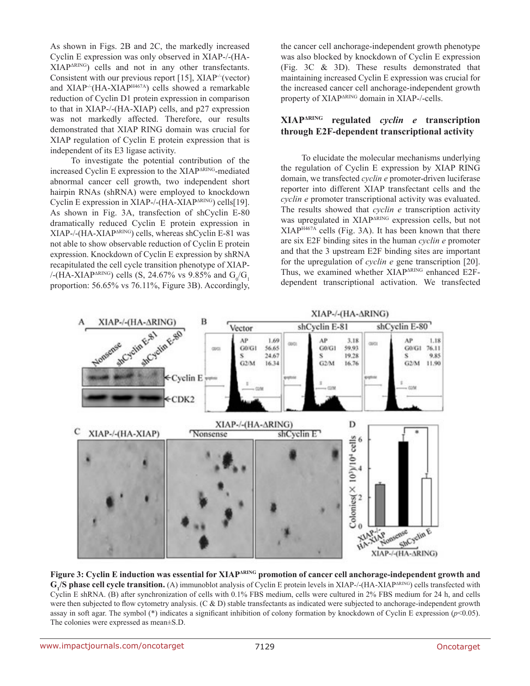As shown in Figs. 2B and 2C, the markedly increased Cyclin E expression was only observed in XIAP-/-(HA-XIAPΔRING) cells and not in any other transfectants. Consistent with our previous report [15], XIAP-/-(vector) and XIAP<sup>-/-</sup>(HA-XIAP<sup>H467A</sup>) cells showed a remarkable reduction of Cyclin D1 protein expression in comparison to that in XIAP-/-(HA-XIAP) cells, and p27 expression was not markedly affected. Therefore, our results demonstrated that XIAP RING domain was crucial for XIAP regulation of Cyclin E protein expression that is independent of its E3 ligase activity.

To investigate the potential contribution of the increased Cyclin E expression to the XIAPΔRING-mediated abnormal cancer cell growth, two independent short hairpin RNAs (shRNA) were employed to knockdown Cyclin E expression in XIAP-/-(HA-XIAP∆RING) cells[19]. As shown in Fig. 3A, transfection of shCyclin E-80 dramatically reduced Cyclin E protein expression in XIAP-/-(HA-XIAP∆RING) cells, whereas shCyclin E-81 was not able to show observable reduction of Cyclin E protein expression. Knockdown of Cyclin E expression by shRNA recapitulated the cell cycle transition phenotype of XIAP- /-(HA-XIAP<sup> $\triangle$ RING</sup>) cells (S, 24.67% vs 9.85% and  $G_0/G_1$ proportion: 56.65% vs 76.11%, Figure 3B). Accordingly, the cancer cell anchorage-independent growth phenotype was also blocked by knockdown of Cyclin E expression (Fig. 3C & 3D). These results demonstrated that maintaining increased Cyclin E expression was crucial for the increased cancer cell anchorage-independent growth property of XIAPΔRING domain in XIAP-/-cells.

# **XIAPΔRING regulated** *cyclin e* **transcription through E2F-dependent transcriptional activity**

To elucidate the molecular mechanisms underlying the regulation of Cyclin E expression by XIAP RING domain, we transfected *cyclin e* promoter-driven luciferase reporter into different XIAP transfectant cells and the *cyclin e* promoter transcriptional activity was evaluated. The results showed that *cyclin e* transcription activity was upregulated in XIAP<sup> $\triangle$ RING</sup> expression cells, but not XIAPH467A cells (Fig. 3A). It has been known that there are six E2F binding sites in the human *cyclin e* promoter and that the 3 upstream E2F binding sites are important for the upregulation of *cyclin e* gene transcription [20]. Thus, we examined whether XIAP<sup>ARING</sup> enhanced E2Fdependent transcriptional activation. We transfected



**Figure 3: Cyclin E induction was essential for XIAPΔRING promotion of cancer cell anchorage-independent growth and G1 /S phase cell cycle transition.** (A) immunoblot analysis of Cyclin E protein levels in XIAP-/-(HA-XIAPΔRING) cells transfected with Cyclin E shRNA. (B) after synchronization of cells with 0.1% FBS medium, cells were cultured in 2% FBS medium for 24 h, and cells were then subjected to flow cytometry analysis.  $(C & D)$  stable transfectants as indicated were subjected to anchorage-independent growth assay in soft agar. The symbol (\*) indicates a significant inhibition of colony formation by knockdown of Cyclin E expression (*p*<0.05). The colonies were expressed as mean±S.D.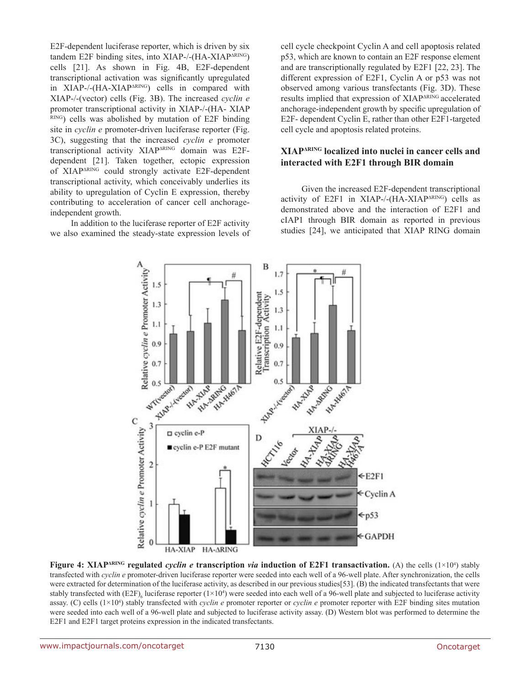E2F-dependent luciferase reporter, which is driven by six tandem E2F binding sites, into XIAP-/-(HA-XIAP∆RING) cells [21]. As shown in Fig. 4B, E2F-dependent transcriptional activation was significantly upregulated in XIAP-/-(HA-XIAP∆RING) cells in compared with XIAP-/-(vector) cells (Fig. 3B). The increased *cyclin e* promoter transcriptional activity in XIAP-/-(HA- XIAP RING) cells was abolished by mutation of E2F binding site in *cyclin e* promoter-driven luciferase reporter (Fig. 3C), suggesting that the increased *cyclin e* promoter transcriptional activity XIAP∆RING domain was E2Fdependent [21]. Taken together, ectopic expression of XIAPΔRING could strongly activate E2F-dependent transcriptional activity, which conceivably underlies its ability to upregulation of Cyclin E expression, thereby contributing to acceleration of cancer cell anchorageindependent growth.

In addition to the luciferase reporter of E2F activity we also examined the steady-state expression levels of cell cycle checkpoint Cyclin A and cell apoptosis related p53, which are known to contain an E2F response element and are transcriptionally regulated by E2F1 [22, 23]. The different expression of E2F1, Cyclin A or p53 was not observed among various transfectants (Fig. 3D). These results implied that expression of XIAP<sup>ΔRING</sup> accelerated anchorage-independent growth by specific upregulation of E2F- dependent Cyclin E, rather than other E2F1-targeted cell cycle and apoptosis related proteins.

#### **XIAPΔRING localized into nuclei in cancer cells and interacted with E2F1 through BIR domain**

Given the increased E2F-dependent transcriptional activity of E2F1 in XIAP-/-(HA-XIAP∆RING) cells as demonstrated above and the interaction of E2F1 and cIAP1 through BIR domain as reported in previous studies [24], we anticipated that XIAP RING domain



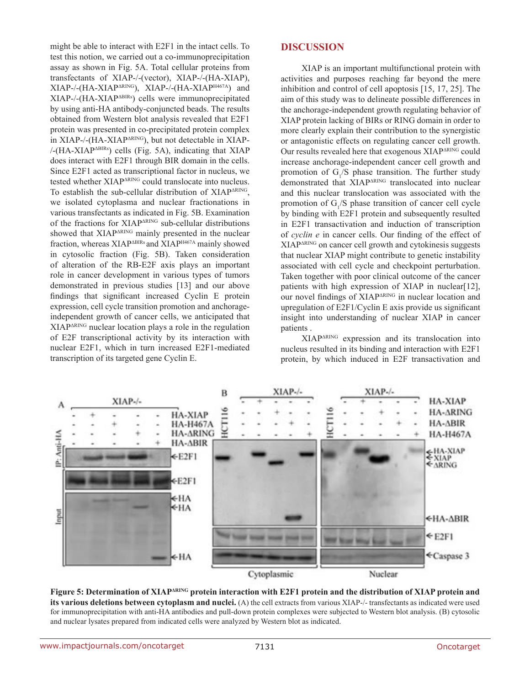might be able to interact with E2F1 in the intact cells. To test this notion, we carried out a co-immunoprecipitation assay as shown in Fig. 5A. Total cellular proteins from transfectants of XIAP-/-(vector), XIAP-/-(HA-XIAP), XIAP-/-(HA-XIAPΔRING), XIAP-/-(HA-XIAPH467A) and XIAP-/-(HA-XIAPΔBIRs) cells were immunoprecipitated by using anti-HA antibody-conjuncted beads. The results obtained from Western blot analysis revealed that E2F1 protein was presented in co-precipitated protein complex in XIAP-/-(HA-XIAP<sup>ΔRING</sup>), but not detectable in XIAP- $/-(HA-XIAP<sub>ABIRs</sub>)$  cells (Fig. 5A), indicating that XIAP does interact with E2F1 through BIR domain in the cells. Since E2F1 acted as transcriptional factor in nucleus, we tested whether XIAP<sup>ARING</sup> could translocate into nucleus. To establish the sub-cellular distribution of XIAP<sup>ARING</sup>, we isolated cytoplasma and nuclear fractionations in various transfectants as indicated in Fig. 5B. Examination of the fractions for XIAPΔRING sub-cellular distributions showed that XIAP<sup>ARING</sup> mainly presented in the nuclear fraction, whereas XIAP<sup>ABIRs</sup> and XIAP<sup>H467A</sup> mainly showed in cytosolic fraction (Fig. 5B). Taken consideration of alteration of the RB-E2F axis plays an important role in cancer development in various types of tumors demonstrated in previous studies [13] and our above findings that significant increased Cyclin E protein expression, cell cycle transition promotion and anchorageindependent growth of cancer cells, we anticipated that XIAPΔRING nuclear location plays a role in the regulation of E2F transcriptional activity by its interaction with nuclear E2F1, which in turn increased E2F1-mediated transcription of its targeted gene Cyclin E.

#### **DISCUSSION**

XIAP is an important multifunctional protein with activities and purposes reaching far beyond the mere inhibition and control of cell apoptosis [15, 17, 25]. The aim of this study was to delineate possible differences in the anchorage-independent growth regulating behavior of XIAP protein lacking of BIRs or RING domain in order to more clearly explain their contribution to the synergistic or antagonistic effects on regulating cancer cell growth. Our results revealed here that exogenous XIAPΔRING could increase anchorage-independent cancer cell growth and promotion of  $G_1/S$  phase transition. The further study demonstrated that XIAP<sup>ARING</sup> translocated into nuclear and this nuclear translocation was associated with the promotion of  $G_1/S$  phase transition of cancer cell cycle by binding with E2F1 protein and subsequently resulted in E2F1 transactivation and induction of transcription of *cyclin e* in cancer cells. Our finding of the effect of XIAPΔRING on cancer cell growth and cytokinesis suggests that nuclear XIAP might contribute to genetic instability associated with cell cycle and checkpoint perturbation. Taken together with poor clinical outcome of the cancer patients with high expression of XIAP in nuclear[12], our novel findings of XIAPΔRING in nuclear location and upregulation of E2F1/Cyclin E axis provide us significant insight into understanding of nuclear XIAP in cancer patients .

XIAPΔRING expression and its translocation into nucleus resulted in its binding and interaction with E2F1 protein, by which induced in E2F transactivation and



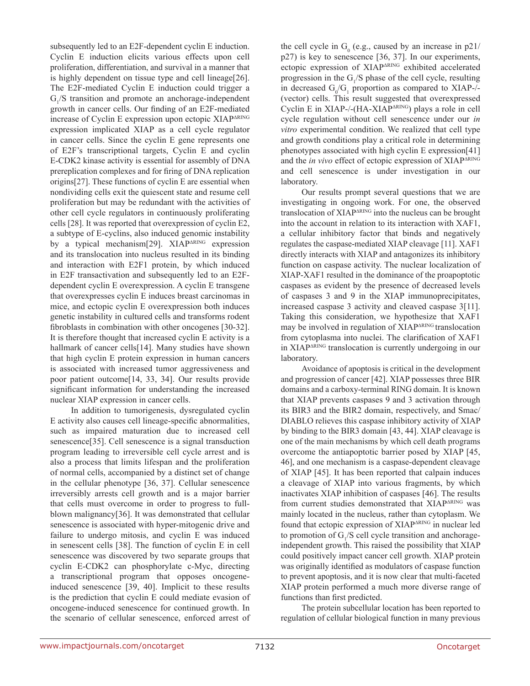subsequently led to an E2F-dependent cyclin E induction. Cyclin E induction elicits various effects upon cell proliferation, differentiation, and survival in a manner that is highly dependent on tissue type and cell lineage[26]. The E2F-mediated Cyclin E induction could trigger a  $G_1/S$  transition and promote an anchorage-independent growth in cancer cells. Our finding of an E2F-mediated increase of Cyclin E expression upon ectopic XIAPΔRING expression implicated XIAP as a cell cycle regulator in cancer cells. Since the cyclin E gene represents one of E2F's transcriptional targets, Cyclin E and cyclin E-CDK2 kinase activity is essential for assembly of DNA prereplication complexes and for firing of DNA replication origins[27]. These functions of cyclin E are essential when nondividing cells exit the quiescent state and resume cell proliferation but may be redundant with the activities of other cell cycle regulators in continuously proliferating cells [28]. It was reported that overexpression of cyclin E2, a subtype of E-cyclins, also induced genomic instability by a typical mechanism[29]. XIAP<sup>ARING</sup> expression and its translocation into nucleus resulted in its binding and interaction with E2F1 protein, by which induced in E2F transactivation and subsequently led to an E2Fdependent cyclin E overexpression. A cyclin E transgene that overexpresses cyclin E induces breast carcinomas in mice, and ectopic cyclin E overexpression both induces genetic instability in cultured cells and transforms rodent fibroblasts in combination with other oncogenes [30-32]. It is therefore thought that increased cyclin E activity is a hallmark of cancer cells[14]. Many studies have shown that high cyclin E protein expression in human cancers is associated with increased tumor aggressiveness and poor patient outcome[14, 33, 34]. Our results provide significant information for understanding the increased nuclear XIAP expression in cancer cells.

In addition to tumorigenesis, dysregulated cyclin E activity also causes cell lineage-specific abnormalities, such as impaired maturation due to increased cell senescence[35]. Cell senescence is a signal transduction program leading to irreversible cell cycle arrest and is also a process that limits lifespan and the proliferation of normal cells, accompanied by a distinct set of change in the cellular phenotype [36, 37]. Cellular senescence irreversibly arrests cell growth and is a major barrier that cells must overcome in order to progress to fullblown malignancy[36]. It was demonstrated that cellular senescence is associated with hyper-mitogenic drive and failure to undergo mitosis, and cyclin E was induced in senescent cells [38]. The function of cyclin E in cell senescence was discovered by two separate groups that cyclin E-CDK2 can phosphorylate c-Myc, directing a transcriptional program that opposes oncogeneinduced senescence [39, 40]. Implicit to these results is the prediction that cyclin E could mediate evasion of oncogene-induced senescence for continued growth. In the scenario of cellular senescence, enforced arrest of

the cell cycle in  $G_0$  (e.g., caused by an increase in  $p21/$ p27) is key to senescence [36, 37]. In our experiments, ectopic expression of XIAP<sup>ARING</sup> exhibited accelerated progression in the  $G_1/S$  phase of the cell cycle, resulting in decreased  $G_0/G_1$  proportion as compared to XIAP-/-(vector) cells. This result suggested that overexpressed Cyclin E in XIAP-/-(HA-XIAP<sup>ARING</sup>) plays a role in cell cycle regulation without cell senescence under our *in vitro* experimental condition. We realized that cell type and growth conditions play a critical role in determining phenotypes associated with high cyclin E expression[41] and the *in vivo* effect of ectopic expression of XIAP<sup>ARING</sup> and cell senescence is under investigation in our laboratory.

Our results prompt several questions that we are investigating in ongoing work. For one, the observed translocation of XIAPΔRING into the nucleus can be brought into the account in relation to its interaction with XAF1, a cellular inhibitory factor that binds and negatively regulates the caspase-mediated XIAP cleavage [11]. XAF1 directly interacts with XIAP and antagonizes its inhibitory function on caspase activity. The nuclear localization of XIAP-XAF1 resulted in the dominance of the proapoptotic caspases as evident by the presence of decreased levels of caspases 3 and 9 in the XIAP immunoprecipitates, increased caspase 3 activity and cleaved caspase 3[11]. Taking this consideration, we hypothesize that XAF1 may be involved in regulation of XIAP<sup>ARING</sup> translocation from cytoplasma into nuclei. The clarification of XAF1 in XIAPΔRING translocation is currently undergoing in our laboratory.

Avoidance of apoptosis is critical in the development and progression of cancer [42]. XIAP possesses three BIR domains and a carboxy-terminal RING domain. It is known that XIAP prevents caspases 9 and 3 activation through its BIR3 and the BIR2 domain, respectively, and Smac/ DIABLO relieves this caspase inhibitory activity of XIAP by binding to the BIR3 domain [43, 44]. XIAP cleavage is one of the main mechanisms by which cell death programs overcome the antiapoptotic barrier posed by XIAP [45, 46], and one mechanism is a caspase-dependent cleavage of XIAP [45]. It has been reported that calpain induces a cleavage of XIAP into various fragments, by which inactivates XIAP inhibition of caspases [46]. The results from current studies demonstrated that XIAP<sup>ARING</sup> was mainly located in the nucleus, rather than cytoplasm. We found that ectopic expression of XIAP<sup>ARING</sup> in nuclear led to promotion of  $G<sub>1</sub>/S$  cell cycle transition and anchorageindependent growth. This raised the possibility that XIAP could positively impact cancer cell growth. XIAP protein was originally identified as modulators of caspase function to prevent apoptosis, and it is now clear that multi-faceted XIAP protein performed a much more diverse range of functions than first predicted.

The protein subcellular location has been reported to regulation of cellular biological function in many previous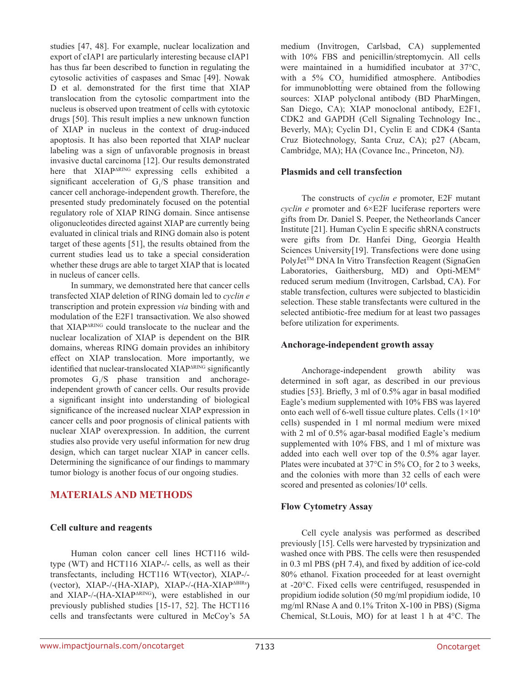studies [47, 48]. For example, nuclear localization and export of cIAP1 are particularly interesting because cIAP1 has thus far been described to function in regulating the cytosolic activities of caspases and Smac [49]. Nowak D et al. demonstrated for the first time that XIAP translocation from the cytosolic compartment into the nucleus is observed upon treatment of cells with cytotoxic drugs [50]. This result implies a new unknown function of XIAP in nucleus in the context of drug-induced apoptosis. It has also been reported that XIAP nuclear labeling was a sign of unfavorable prognosis in breast invasive ductal carcinoma [12]. Our results demonstrated here that XIAP<sup>ARING</sup> expressing cells exhibited a significant acceleration of  $G_1/S$  phase transition and cancer cell anchorage-independent growth. Therefore, the presented study predominately focused on the potential regulatory role of XIAP RING domain. Since antisense oligonucleotides directed against XIAP are currently being evaluated in clinical trials and RING domain also is potent target of these agents [51], the results obtained from the current studies lead us to take a special consideration whether these drugs are able to target XIAP that is located in nucleus of cancer cells.

In summary, we demonstrated here that cancer cells transfected XIAP deletion of RING domain led to *cyclin e* transcription and protein expression *via* binding with and modulation of the E2F1 transactivation. We also showed that XIAP<sup>ARING</sup> could translocate to the nuclear and the nuclear localization of XIAP is dependent on the BIR domains, whereas RING domain provides an inhibitory effect on XIAP translocation. More importantly, we identified that nuclear-translocated XIAP<sup>ARING</sup> significantly promotes  $G_1/S$  phase transition and anchorageindependent growth of cancer cells. Our results provide a significant insight into understanding of biological significance of the increased nuclear XIAP expression in cancer cells and poor prognosis of clinical patients with nuclear XIAP overexpression. In addition, the current studies also provide very useful information for new drug design, which can target nuclear XIAP in cancer cells. Determining the significance of our findings to mammary tumor biology is another focus of our ongoing studies.

# **MATERIALS AND METHODS**

#### **Cell culture and reagents**

Human colon cancer cell lines HCT116 wildtype (WT) and HCT116 XIAP-/- cells, as well as their transfectants, including HCT116 WT(vector), XIAP-/- (vector), XIAP-/-(HA-XIAP), XIAP-/-(HA-XIAPΔBIRs) and XIAP-/-(HA-XIAP<sup>ARING</sup>), were established in our previously published studies [15-17, 52]. The HCT116 cells and transfectants were cultured in McCoy's 5A

medium (Invitrogen, Carlsbad, CA) supplemented with 10% FBS and penicillin/streptomycin. All cells were maintained in a humidified incubator at 37°C, with a 5%  $CO<sub>2</sub>$  humidified atmosphere. Antibodies for immunoblotting were obtained from the following sources: XIAP polyclonal antibody (BD PharMingen, San Diego, CA); XIAP monoclonal antibody, E2F1, CDK2 and GAPDH (Cell Signaling Technology Inc., Beverly, MA); Cyclin D1, Cyclin E and CDK4 (Santa Cruz Biotechnology, Santa Cruz, CA); p27 (Abcam, Cambridge, MA); HA (Covance Inc., Princeton, NJ).

### **Plasmids and cell transfection**

The constructs of *cyclin e* promoter, E2F mutant *cyclin e* promoter and 6×E2F luciferase reporters were gifts from Dr. Daniel S. Peeper, the Netheorlands Cancer Institute [21]. Human Cyclin E specific shRNA constructs were gifts from Dr. Hanfei Ding, Georgia Health Sciences University[19]. Transfections were done using PolyJet<sup>™</sup> DNA In Vitro Transfection Reagent (SignaGen Laboratories, Gaithersburg, MD) and Opti-MEM® reduced serum medium (Invitrogen, Carlsbad, CA). For stable transfection, cultures were subjected to blasticidin selection. These stable transfectants were cultured in the selected antibiotic-free medium for at least two passages before utilization for experiments.

#### **Anchorage-independent growth assay**

Anchorage-independent growth ability was determined in soft agar, as described in our previous studies [53]. Briefly, 3 ml of 0.5% agar in basal modified Eagle's medium supplemented with 10% FBS was layered onto each well of 6-well tissue culture plates. Cells  $(1\times10^4)$ cells) suspended in 1 ml normal medium were mixed with 2 ml of 0.5% agar-basal modified Eagle's medium supplemented with 10% FBS, and 1 ml of mixture was added into each well over top of the 0.5% agar layer. Plates were incubated at  $37^{\circ}$ C in 5% CO<sub>2</sub> for 2 to 3 weeks, and the colonies with more than 32 cells of each were scored and presented as colonies/10<sup>4</sup> cells.

# **Flow Cytometry Assay**

Cell cycle analysis was performed as described previously [15]. Cells were harvested by trypsinization and washed once with PBS. The cells were then resuspended in 0.3 ml PBS (pH 7.4), and fixed by addition of ice-cold 80% ethanol. Fixation proceeded for at least overnight at -20°C. Fixed cells were centrifuged, resuspended in propidium iodide solution (50 mg/ml propidium iodide, 10 mg/ml RNase A and 0.1% Triton X-100 in PBS) (Sigma Chemical, St.Louis, MO) for at least 1 h at 4°C. The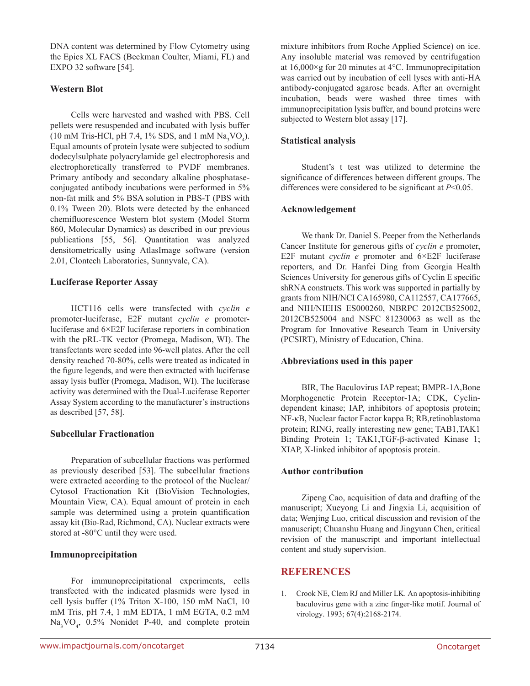DNA content was determined by Flow Cytometry using the Epics XL FACS (Beckman Coulter, Miami, FL) and EXPO 32 software [54].

#### **Western Blot**

Cells were harvested and washed with PBS. Cell pellets were resuspended and incubated with lysis buffer  $(10 \text{ mM Tris-HCl, pH } 7.4, 1\% \text{ SDS, and } 1 \text{ mM Na}_3\text{VO}_4)$ . Equal amounts of protein lysate were subjected to sodium dodecylsulphate polyacrylamide gel electrophoresis and electrophoretically transferred to PVDF membranes. Primary antibody and secondary alkaline phosphataseconjugated antibody incubations were performed in 5% non-fat milk and 5% BSA solution in PBS-T (PBS with 0.1% Tween 20). Blots were detected by the enhanced chemifluorescence Western blot system (Model Storm 860, Molecular Dynamics) as described in our previous publications [55, 56]. Quantitation was analyzed densitometrically using AtlasImage software (version 2.01, Clontech Laboratories, Sunnyvale, CA).

#### **Luciferase Reporter Assay**

HCT116 cells were transfected with *cyclin e* promoter-luciferase, E2F mutant *cyclin e* promoterluciferase and 6×E2F luciferase reporters in combination with the pRL-TK vector (Promega, Madison, WI). The transfectants were seeded into 96-well plates. After the cell density reached 70-80%, cells were treated as indicated in the figure legends, and were then extracted with luciferase assay lysis buffer (Promega, Madison, WI). The luciferase activity was determined with the Dual-Luciferase Reporter Assay System according to the manufacturer's instructions as described [57, 58].

#### **Subcellular Fractionation**

Preparation of subcellular fractions was performed as previously described [53]. The subcellular fractions were extracted according to the protocol of the Nuclear/ Cytosol Fractionation Kit (BioVision Technologies, Mountain View, CA). Equal amount of protein in each sample was determined using a protein quantification assay kit (Bio-Rad, Richmond, CA). Nuclear extracts were stored at -80°C until they were used.

#### **Immunoprecipitation**

For immunoprecipitational experiments, cells transfected with the indicated plasmids were lysed in cell lysis buffer (1% Triton X-100, 150 mM NaCl, 10 mM Tris, pH 7.4, 1 mM EDTA, 1 mM EGTA, 0.2 mM Na<sub>3</sub>VO<sub>4</sub>, 0.5% Nonidet P-40, and complete protein mixture inhibitors from Roche Applied Science) on ice. Any insoluble material was removed by centrifugation at 16,000×g for 20 minutes at 4°C. Immunoprecipitation was carried out by incubation of cell lyses with anti-HA antibody-conjugated agarose beads. After an overnight incubation, beads were washed three times with immunoprecipitation lysis buffer, and bound proteins were subjected to Western blot assay [17].

### **Statistical analysis**

Student's t test was utilized to determine the significance of differences between different groups. The differences were considered to be significant at *P*<0.05.

#### **Acknowledgement**

We thank Dr. Daniel S. Peeper from the Netherlands Cancer Institute for generous gifts of *cyclin e* promoter, E2F mutant *cyclin e* promoter and 6×E2F luciferase reporters, and Dr. Hanfei Ding from Georgia Health Sciences University for generous gifts of Cyclin E specific shRNA constructs. This work was supported in partially by grants from NIH/NCI CA165980, CA112557, CA177665, and NIH/NIEHS ES000260, NBRPC 2012CB525002, 2012CB525004 and NSFC 81230063 as well as the Program for Innovative Research Team in University (PCSIRT), Ministry of Education, China.

#### **Abbreviations used in this paper**

BIR, The Baculovirus IAP repeat; BMPR-1A,Bone Morphogenetic Protein Receptor-1A; CDK, Cyclindependent kinase; IAP, inhibitors of apoptosis protein; NF-κB, Nuclear factor Factor kappa B; RB,retinoblastoma protein; RING, really interesting new gene; TAB1,TAK1 Binding Protein 1; TAK1,TGF-β-activated Kinase 1; XIAP, X-linked inhibitor of apoptosis protein.

#### **Author contribution**

Zipeng Cao, acquisition of data and drafting of the manuscript; Xueyong Li and Jingxia Li, acquisition of data; Wenjing Luo, critical discussion and revision of the manuscript; Chuanshu Huang and Jingyuan Chen, critical revision of the manuscript and important intellectual content and study supervision.

# **REFERENCES**

1. Crook NE, Clem RJ and Miller LK. An apoptosis-inhibiting baculovirus gene with a zinc finger-like motif. Journal of virology. 1993; 67(4):2168-2174.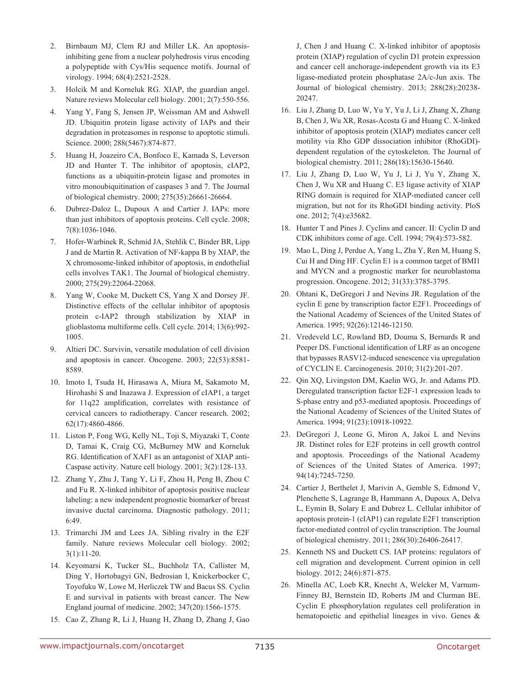- 2. Birnbaum MJ, Clem RJ and Miller LK. An apoptosisinhibiting gene from a nuclear polyhedrosis virus encoding a polypeptide with Cys/His sequence motifs. Journal of virology. 1994; 68(4):2521-2528.
- 3. Holcik M and Korneluk RG. XIAP, the guardian angel. Nature reviews Molecular cell biology. 2001; 2(7):550-556.
- 4. Yang Y, Fang S, Jensen JP, Weissman AM and Ashwell JD. Ubiquitin protein ligase activity of IAPs and their degradation in proteasomes in response to apoptotic stimuli. Science. 2000; 288(5467):874-877.
- 5. Huang H, Joazeiro CA, Bonfoco E, Kamada S, Leverson JD and Hunter T. The inhibitor of apoptosis, cIAP2, functions as a ubiquitin-protein ligase and promotes in vitro monoubiquitination of caspases 3 and 7. The Journal of biological chemistry. 2000; 275(35):26661-26664.
- 6. Dubrez-Daloz L, Dupoux A and Cartier J. IAPs: more than just inhibitors of apoptosis proteins. Cell cycle. 2008; 7(8):1036-1046.
- 7. Hofer-Warbinek R, Schmid JA, Stehlik C, Binder BR, Lipp J and de Martin R. Activation of NF-kappa B by XIAP, the X chromosome-linked inhibitor of apoptosis, in endothelial cells involves TAK1. The Journal of biological chemistry. 2000; 275(29):22064-22068.
- 8. Yang W, Cooke M, Duckett CS, Yang X and Dorsey JF. Distinctive effects of the cellular inhibitor of apoptosis protein c-IAP2 through stabilization by XIAP in glioblastoma multiforme cells. Cell cycle. 2014; 13(6):992- 1005.
- 9. Altieri DC. Survivin, versatile modulation of cell division and apoptosis in cancer. Oncogene. 2003; 22(53):8581- 8589.
- 10. Imoto I, Tsuda H, Hirasawa A, Miura M, Sakamoto M, Hirohashi S and Inazawa J. Expression of cIAP1, a target for 11q22 amplification, correlates with resistance of cervical cancers to radiotherapy. Cancer research. 2002; 62(17):4860-4866.
- 11. Liston P, Fong WG, Kelly NL, Toji S, Miyazaki T, Conte D, Tamai K, Craig CG, McBurney MW and Korneluk RG. Identification of XAF1 as an antagonist of XIAP anti-Caspase activity. Nature cell biology. 2001; 3(2):128-133.
- 12. Zhang Y, Zhu J, Tang Y, Li F, Zhou H, Peng B, Zhou C and Fu R. X-linked inhibitor of apoptosis positive nuclear labeling: a new independent prognostic biomarker of breast invasive ductal carcinoma. Diagnostic pathology. 2011; 6:49.
- 13. Trimarchi JM and Lees JA. Sibling rivalry in the E2F family. Nature reviews Molecular cell biology. 2002; 3(1):11-20.
- 14. Keyomarsi K, Tucker SL, Buchholz TA, Callister M, Ding Y, Hortobagyi GN, Bedrosian I, Knickerbocker C, Toyofuku W, Lowe M, Herliczek TW and Bacus SS. Cyclin E and survival in patients with breast cancer. The New England journal of medicine. 2002; 347(20):1566-1575.
- 15. Cao Z, Zhang R, Li J, Huang H, Zhang D, Zhang J, Gao

J, Chen J and Huang C. X-linked inhibitor of apoptosis protein (XIAP) regulation of cyclin D1 protein expression and cancer cell anchorage-independent growth via its E3 ligase-mediated protein phosphatase 2A/c-Jun axis. The Journal of biological chemistry. 2013; 288(28):20238- 20247.

- 16. Liu J, Zhang D, Luo W, Yu Y, Yu J, Li J, Zhang X, Zhang B, Chen J, Wu XR, Rosas-Acosta G and Huang C. X-linked inhibitor of apoptosis protein (XIAP) mediates cancer cell motility via Rho GDP dissociation inhibitor (RhoGDI) dependent regulation of the cytoskeleton. The Journal of biological chemistry. 2011; 286(18):15630-15640.
- 17. Liu J, Zhang D, Luo W, Yu J, Li J, Yu Y, Zhang X, Chen J, Wu XR and Huang C. E3 ligase activity of XIAP RING domain is required for XIAP-mediated cancer cell migration, but not for its RhoGDI binding activity. PloS one. 2012; 7(4):e35682.
- 18. Hunter T and Pines J. Cyclins and cancer. II: Cyclin D and CDK inhibitors come of age. Cell. 1994; 79(4):573-582.
- 19. Mao L, Ding J, Perdue A, Yang L, Zha Y, Ren M, Huang S, Cui H and Ding HF. Cyclin E1 is a common target of BMI1 and MYCN and a prognostic marker for neuroblastoma progression. Oncogene. 2012; 31(33):3785-3795.
- 20. Ohtani K, DeGregori J and Nevins JR. Regulation of the cyclin E gene by transcription factor E2F1. Proceedings of the National Academy of Sciences of the United States of America. 1995; 92(26):12146-12150.
- 21. Vredeveld LC, Rowland BD, Douma S, Bernards R and Peeper DS. Functional identification of LRF as an oncogene that bypasses RASV12-induced senescence via upregulation of CYCLIN E. Carcinogenesis. 2010; 31(2):201-207.
- 22. Qin XQ, Livingston DM, Kaelin WG, Jr. and Adams PD. Deregulated transcription factor E2F-1 expression leads to S-phase entry and p53-mediated apoptosis. Proceedings of the National Academy of Sciences of the United States of America. 1994; 91(23):10918-10922.
- 23. DeGregori J, Leone G, Miron A, Jakoi L and Nevins JR. Distinct roles for E2F proteins in cell growth control and apoptosis. Proceedings of the National Academy of Sciences of the United States of America. 1997; 94(14):7245-7250.
- 24. Cartier J, Berthelet J, Marivin A, Gemble S, Edmond V, Plenchette S, Lagrange B, Hammann A, Dupoux A, Delva L, Eymin B, Solary E and Dubrez L. Cellular inhibitor of apoptosis protein-1 (cIAP1) can regulate E2F1 transcription factor-mediated control of cyclin transcription. The Journal of biological chemistry. 2011; 286(30):26406-26417.
- 25. Kenneth NS and Duckett CS. IAP proteins: regulators of cell migration and development. Current opinion in cell biology. 2012; 24(6):871-875.
- 26. Minella AC, Loeb KR, Knecht A, Welcker M, Varnum-Finney BJ, Bernstein ID, Roberts JM and Clurman BE. Cyclin E phosphorylation regulates cell proliferation in hematopoietic and epithelial lineages in vivo. Genes &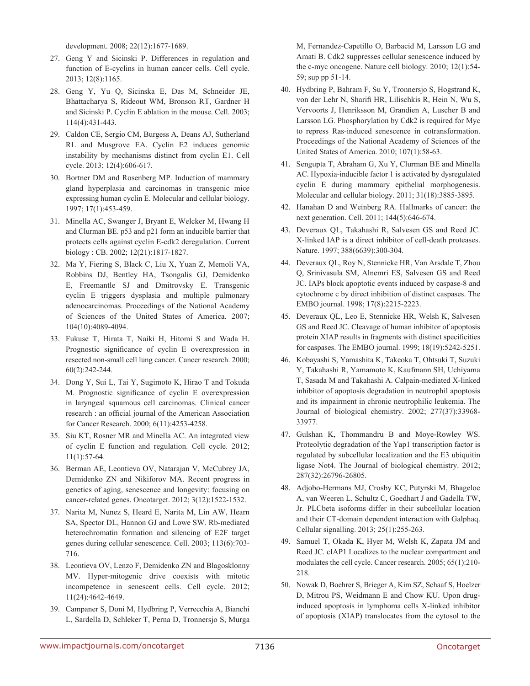development. 2008; 22(12):1677-1689.

- 27. Geng Y and Sicinski P. Differences in regulation and function of E-cyclins in human cancer cells. Cell cycle. 2013; 12(8):1165.
- 28. Geng Y, Yu Q, Sicinska E, Das M, Schneider JE, Bhattacharya S, Rideout WM, Bronson RT, Gardner H and Sicinski P. Cyclin E ablation in the mouse. Cell. 2003; 114(4):431-443.
- 29. Caldon CE, Sergio CM, Burgess A, Deans AJ, Sutherland RL and Musgrove EA. Cyclin E2 induces genomic instability by mechanisms distinct from cyclin E1. Cell cycle. 2013; 12(4):606-617.
- 30. Bortner DM and Rosenberg MP. Induction of mammary gland hyperplasia and carcinomas in transgenic mice expressing human cyclin E. Molecular and cellular biology. 1997; 17(1):453-459.
- 31. Minella AC, Swanger J, Bryant E, Welcker M, Hwang H and Clurman BE. p53 and p21 form an inducible barrier that protects cells against cyclin E-cdk2 deregulation. Current biology : CB. 2002; 12(21):1817-1827.
- 32. Ma Y, Fiering S, Black C, Liu X, Yuan Z, Memoli VA, Robbins DJ, Bentley HA, Tsongalis GJ, Demidenko E, Freemantle SJ and Dmitrovsky E. Transgenic cyclin E triggers dysplasia and multiple pulmonary adenocarcinomas. Proceedings of the National Academy of Sciences of the United States of America. 2007; 104(10):4089-4094.
- 33. Fukuse T, Hirata T, Naiki H, Hitomi S and Wada H. Prognostic significance of cyclin E overexpression in resected non-small cell lung cancer. Cancer research. 2000; 60(2):242-244.
- 34. Dong Y, Sui L, Tai Y, Sugimoto K, Hirao T and Tokuda M. Prognostic significance of cyclin E overexpression in laryngeal squamous cell carcinomas. Clinical cancer research : an official journal of the American Association for Cancer Research. 2000; 6(11):4253-4258.
- 35. Siu KT, Rosner MR and Minella AC. An integrated view of cyclin E function and regulation. Cell cycle. 2012; 11(1):57-64.
- 36. Berman AE, Leontieva OV, Natarajan V, McCubrey JA, Demidenko ZN and Nikiforov MA. Recent progress in genetics of aging, senescence and longevity: focusing on cancer-related genes. Oncotarget. 2012; 3(12):1522-1532.
- 37. Narita M, Nunez S, Heard E, Narita M, Lin AW, Hearn SA, Spector DL, Hannon GJ and Lowe SW. Rb-mediated heterochromatin formation and silencing of E2F target genes during cellular senescence. Cell. 2003; 113(6):703- 716.
- 38. Leontieva OV, Lenzo F, Demidenko ZN and Blagosklonny MV. Hyper-mitogenic drive coexists with mitotic incompetence in senescent cells. Cell cycle. 2012; 11(24):4642-4649.
- 39. Campaner S, Doni M, Hydbring P, Verrecchia A, Bianchi L, Sardella D, Schleker T, Perna D, Tronnersjo S, Murga

M, Fernandez-Capetillo O, Barbacid M, Larsson LG and Amati B. Cdk2 suppresses cellular senescence induced by the c-myc oncogene. Nature cell biology. 2010; 12(1):54- 59; sup pp 51-14.

- 40. Hydbring P, Bahram F, Su Y, Tronnersjo S, Hogstrand K, von der Lehr N, Sharifi HR, Lilischkis R, Hein N, Wu S, Vervoorts J, Henriksson M, Grandien A, Luscher B and Larsson LG. Phosphorylation by Cdk2 is required for Myc to repress Ras-induced senescence in cotransformation. Proceedings of the National Academy of Sciences of the United States of America. 2010; 107(1):58-63.
- 41. Sengupta T, Abraham G, Xu Y, Clurman BE and Minella AC. Hypoxia-inducible factor 1 is activated by dysregulated cyclin E during mammary epithelial morphogenesis. Molecular and cellular biology. 2011; 31(18):3885-3895.
- 42. Hanahan D and Weinberg RA. Hallmarks of cancer: the next generation. Cell. 2011; 144(5):646-674.
- 43. Deveraux QL, Takahashi R, Salvesen GS and Reed JC. X-linked IAP is a direct inhibitor of cell-death proteases. Nature. 1997; 388(6639):300-304.
- 44. Deveraux QL, Roy N, Stennicke HR, Van Arsdale T, Zhou Q, Srinivasula SM, Alnemri ES, Salvesen GS and Reed JC. IAPs block apoptotic events induced by caspase-8 and cytochrome c by direct inhibition of distinct caspases. The EMBO journal. 1998; 17(8):2215-2223.
- 45. Deveraux QL, Leo E, Stennicke HR, Welsh K, Salvesen GS and Reed JC. Cleavage of human inhibitor of apoptosis protein XIAP results in fragments with distinct specificities for caspases. The EMBO journal. 1999; 18(19):5242-5251.
- 46. Kobayashi S, Yamashita K, Takeoka T, Ohtsuki T, Suzuki Y, Takahashi R, Yamamoto K, Kaufmann SH, Uchiyama T, Sasada M and Takahashi A. Calpain-mediated X-linked inhibitor of apoptosis degradation in neutrophil apoptosis and its impairment in chronic neutrophilic leukemia. The Journal of biological chemistry. 2002; 277(37):33968- 33977.
- 47. Gulshan K, Thommandru B and Moye-Rowley WS. Proteolytic degradation of the Yap1 transcription factor is regulated by subcellular localization and the E3 ubiquitin ligase Not4. The Journal of biological chemistry. 2012; 287(32):26796-26805.
- 48. Adjobo-Hermans MJ, Crosby KC, Putyrski M, Bhageloe A, van Weeren L, Schultz C, Goedhart J and Gadella TW, Jr. PLCbeta isoforms differ in their subcellular location and their CT-domain dependent interaction with Galphaq. Cellular signalling. 2013; 25(1):255-263.
- 49. Samuel T, Okada K, Hyer M, Welsh K, Zapata JM and Reed JC. cIAP1 Localizes to the nuclear compartment and modulates the cell cycle. Cancer research. 2005; 65(1):210- 218.
- 50. Nowak D, Boehrer S, Brieger A, Kim SZ, Schaaf S, Hoelzer D, Mitrou PS, Weidmann E and Chow KU. Upon druginduced apoptosis in lymphoma cells X-linked inhibitor of apoptosis (XIAP) translocates from the cytosol to the